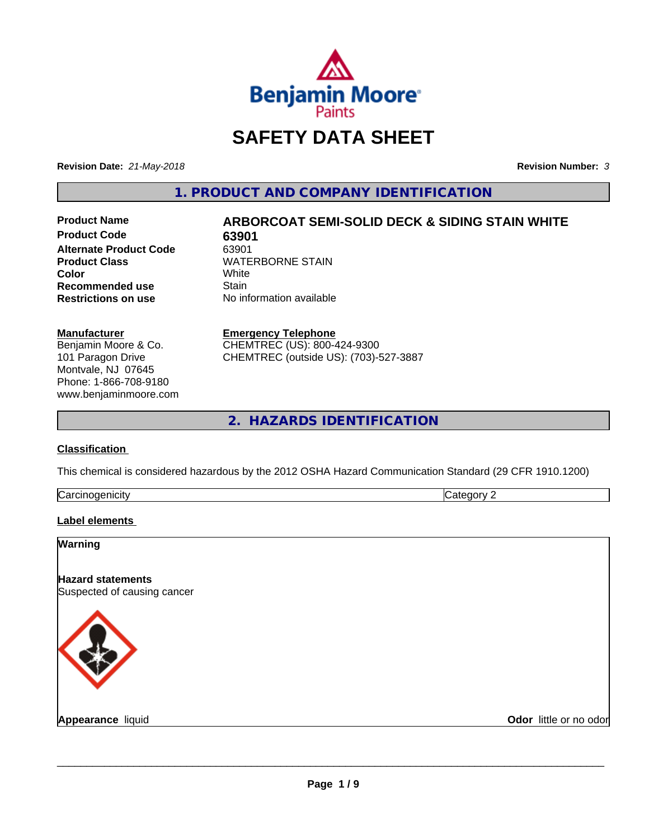

## **SAFETY DATA SHEET**

**Revision Date:** *21-May-2018* **Revision Number:** *3*

**1. PRODUCT AND COMPANY IDENTIFICATION**

**Product Code 63901 Alternate Product Code** 63901<br>**Product Class** WATE **Color** White White **Recommended use** Stain<br> **Restrictions on use** No in

# **Product Name ARBORCOAT SEMI-SOLID DECK & SIDING STAIN WHITE**

**WATERBORNE STAIN**<br>White **No information available** 

#### **Manufacturer**

Benjamin Moore & Co. 101 Paragon Drive Montvale, NJ 07645 Phone: 1-866-708-9180 www.benjaminmoore.com

#### **Emergency Telephone**

CHEMTREC (US): 800-424-9300 CHEMTREC (outside US): (703)-527-3887

**2. HAZARDS IDENTIFICATION**

#### **Classification**

This chemical is considered hazardous by the 2012 OSHA Hazard Communication Standard (29 CFR 1910.1200)

| ∽<br>- - -<br>----<br>.<br>ruard<br>ш<br>. .<br>___ | ш |
|-----------------------------------------------------|---|
|                                                     |   |

#### **Label elements**

| <b>Warning</b>                                          |                        |
|---------------------------------------------------------|------------------------|
| <b>Hazard statements</b><br>Suspected of causing cancer |                        |
|                                                         |                        |
| <b>Appearance liquid</b>                                | Odor little or no odor |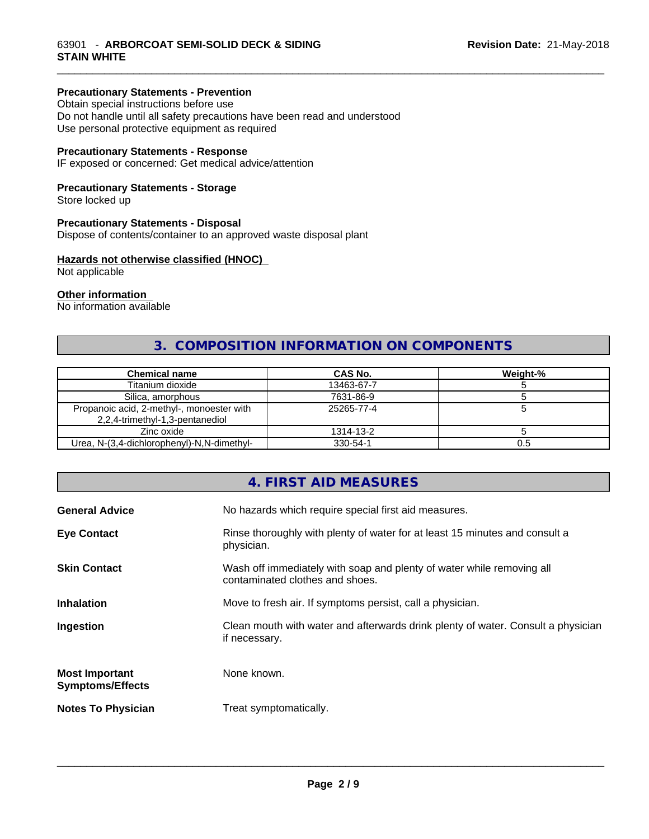#### **Precautionary Statements - Prevention**

Obtain special instructions before use Do not handle until all safety precautions have been read and understood Use personal protective equipment as required

#### **Precautionary Statements - Response**

IF exposed or concerned: Get medical advice/attention

#### **Precautionary Statements - Storage**

Store locked up

#### **Precautionary Statements - Disposal**

Dispose of contents/container to an approved waste disposal plant

#### **Hazards not otherwise classified (HNOC)**

Not applicable

#### **Other information**

No information available

#### **3. COMPOSITION INFORMATION ON COMPONENTS**

\_\_\_\_\_\_\_\_\_\_\_\_\_\_\_\_\_\_\_\_\_\_\_\_\_\_\_\_\_\_\_\_\_\_\_\_\_\_\_\_\_\_\_\_\_\_\_\_\_\_\_\_\_\_\_\_\_\_\_\_\_\_\_\_\_\_\_\_\_\_\_\_\_\_\_\_\_\_\_\_\_\_\_\_\_\_\_\_\_\_\_\_\_

| <b>Chemical name</b>                                                         | <b>CAS No.</b> | Weight-% |
|------------------------------------------------------------------------------|----------------|----------|
| Titanium dioxide                                                             | 13463-67-7     |          |
| Silica, amorphous                                                            | 7631-86-9      |          |
| Propanoic acid, 2-methyl-, monoester with<br>2,2,4-trimethyl-1,3-pentanediol | 25265-77-4     |          |
| Zinc oxide                                                                   | 1314-13-2      |          |
| Urea, N-(3,4-dichlorophenyl)-N,N-dimethyl-                                   | 330-54-1       | 0.5      |

#### **4. FIRST AID MEASURES**

| <b>General Advice</b>                            | No hazards which require special first aid measures.                                                     |
|--------------------------------------------------|----------------------------------------------------------------------------------------------------------|
| <b>Eye Contact</b>                               | Rinse thoroughly with plenty of water for at least 15 minutes and consult a<br>physician.                |
| <b>Skin Contact</b>                              | Wash off immediately with soap and plenty of water while removing all<br>contaminated clothes and shoes. |
| <b>Inhalation</b>                                | Move to fresh air. If symptoms persist, call a physician.                                                |
| Ingestion                                        | Clean mouth with water and afterwards drink plenty of water. Consult a physician<br>if necessary.        |
| <b>Most Important</b><br><b>Symptoms/Effects</b> | None known.                                                                                              |
| <b>Notes To Physician</b>                        | Treat symptomatically.                                                                                   |
|                                                  |                                                                                                          |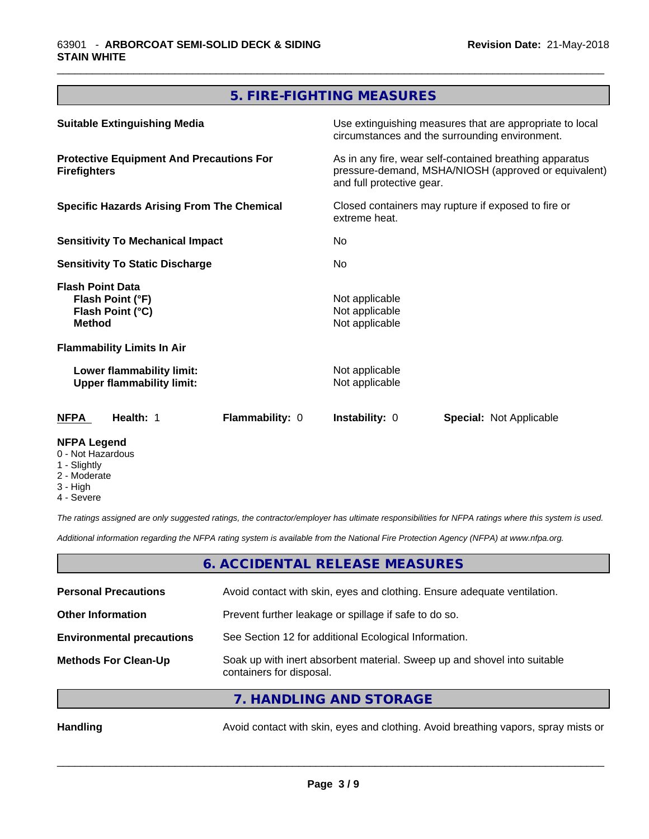## **5. FIRE-FIGHTING MEASURES**

\_\_\_\_\_\_\_\_\_\_\_\_\_\_\_\_\_\_\_\_\_\_\_\_\_\_\_\_\_\_\_\_\_\_\_\_\_\_\_\_\_\_\_\_\_\_\_\_\_\_\_\_\_\_\_\_\_\_\_\_\_\_\_\_\_\_\_\_\_\_\_\_\_\_\_\_\_\_\_\_\_\_\_\_\_\_\_\_\_\_\_\_\_

| Lower flammability limit:<br><b>Upper flammability limit:</b>                                                               |  | Not applicable<br>Not applicable                                                                                                                                                                                     |  |
|-----------------------------------------------------------------------------------------------------------------------------|--|----------------------------------------------------------------------------------------------------------------------------------------------------------------------------------------------------------------------|--|
| <b>Flammability Limits In Air</b>                                                                                           |  |                                                                                                                                                                                                                      |  |
| Flash Point (°C)<br><b>Method</b>                                                                                           |  | Not applicable<br>Not applicable                                                                                                                                                                                     |  |
| <b>Flash Point Data</b><br>Flash Point (°F)                                                                                 |  | Not applicable                                                                                                                                                                                                       |  |
| <b>Sensitivity To Static Discharge</b>                                                                                      |  | No.                                                                                                                                                                                                                  |  |
| <b>Sensitivity To Mechanical Impact</b>                                                                                     |  | No.                                                                                                                                                                                                                  |  |
| <b>Protective Equipment And Precautions For</b><br><b>Firefighters</b><br><b>Specific Hazards Arising From The Chemical</b> |  | As in any fire, wear self-contained breathing apparatus<br>pressure-demand, MSHA/NIOSH (approved or equivalent)<br>and full protective gear.<br>Closed containers may rupture if exposed to fire or<br>extreme heat. |  |
|                                                                                                                             |  |                                                                                                                                                                                                                      |  |
|                                                                                                                             |  |                                                                                                                                                                                                                      |  |

- 0 Not Hazardous
- 1 Slightly
- 2 Moderate
- 3 High
- 4 Severe

*The ratings assigned are only suggested ratings, the contractor/employer has ultimate responsibilities for NFPA ratings where this system is used.*

*Additional information regarding the NFPA rating system is available from the National Fire Protection Agency (NFPA) at www.nfpa.org.*

#### **6. ACCIDENTAL RELEASE MEASURES**

| <b>Personal Precautions</b>      | Avoid contact with skin, eyes and clothing. Ensure adequate ventilation.                             |
|----------------------------------|------------------------------------------------------------------------------------------------------|
| <b>Other Information</b>         | Prevent further leakage or spillage if safe to do so.                                                |
| <b>Environmental precautions</b> | See Section 12 for additional Ecological Information.                                                |
| <b>Methods For Clean-Up</b>      | Soak up with inert absorbent material. Sweep up and shovel into suitable<br>containers for disposal. |
|                                  | $\tau$ is a linear into a ninet of $\sigma$                                                          |

**7. HANDLING AND STORAGE**

Handling **Handling** Avoid contact with skin, eyes and clothing. Avoid breathing vapors, spray mists or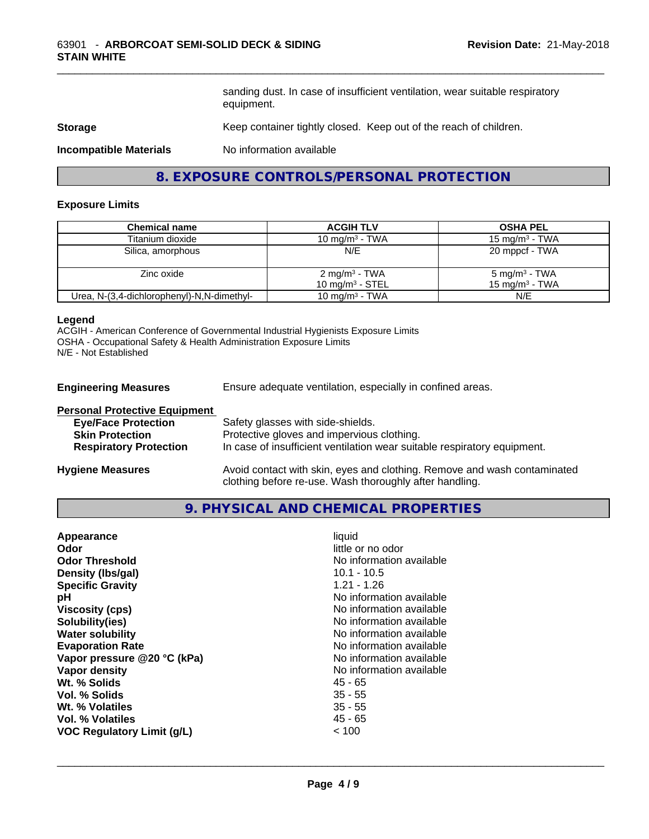sanding dust. In case of insufficient ventilation, wear suitable respiratory equipment.

\_\_\_\_\_\_\_\_\_\_\_\_\_\_\_\_\_\_\_\_\_\_\_\_\_\_\_\_\_\_\_\_\_\_\_\_\_\_\_\_\_\_\_\_\_\_\_\_\_\_\_\_\_\_\_\_\_\_\_\_\_\_\_\_\_\_\_\_\_\_\_\_\_\_\_\_\_\_\_\_\_\_\_\_\_\_\_\_\_\_\_\_\_

#### **Storage** Keep container tightly closed. Keep out of the reach of children.

**Incompatible Materials** No information available

#### **8. EXPOSURE CONTROLS/PERSONAL PROTECTION**

#### **Exposure Limits**

| <b>Chemical name</b>                       | <b>ACGIH TLV</b>                               | <b>OSHA PEL</b>                               |
|--------------------------------------------|------------------------------------------------|-----------------------------------------------|
|                                            |                                                |                                               |
| Titanium dioxide                           | 10 mg/m $3$ - TWA                              | 15 mg/m <sup>3</sup> - TWA                    |
| Silica, amorphous                          | N/E                                            | 20 mppcf - TWA                                |
| Zinc oxide                                 | $2 \text{ mg/m}^3$ - TWA<br>10 mg/m $3$ - STEL | $5 \text{ mg/m}^3$ - TWA<br>15 mg/m $3$ - TWA |
| Urea, N-(3,4-dichlorophenyl)-N,N-dimethyl- | 10 mg/m $3$ - TWA                              | N/E                                           |

#### **Legend**

ACGIH - American Conference of Governmental Industrial Hygienists Exposure Limits OSHA - Occupational Safety & Health Administration Exposure Limits N/E - Not Established

**Engineering Measures** Ensure adequate ventilation, especially in confined areas.

| <b>Personal Protective Equipment</b> |                                                                                                                                     |
|--------------------------------------|-------------------------------------------------------------------------------------------------------------------------------------|
| <b>Eye/Face Protection</b>           | Safety glasses with side-shields.                                                                                                   |
| <b>Skin Protection</b>               | Protective gloves and impervious clothing.                                                                                          |
| <b>Respiratory Protection</b>        | In case of insufficient ventilation wear suitable respiratory equipment.                                                            |
| <b>Hygiene Measures</b>              | Avoid contact with skin, eyes and clothing. Remove and wash contaminated<br>clothing before re-use. Wash thoroughly after handling. |

#### **9. PHYSICAL AND CHEMICAL PROPERTIES**

| Appearance                        | liquid                   |
|-----------------------------------|--------------------------|
| Odor                              | little or no odor        |
| <b>Odor Threshold</b>             | No information available |
| Density (Ibs/gal)                 | $10.1 - 10.5$            |
| <b>Specific Gravity</b>           | $1.21 - 1.26$            |
| рH                                | No information available |
| <b>Viscosity (cps)</b>            | No information available |
| Solubility(ies)                   | No information available |
| <b>Water solubility</b>           | No information available |
| <b>Evaporation Rate</b>           | No information available |
| Vapor pressure @20 °C (kPa)       | No information available |
| Vapor density                     | No information available |
| Wt. % Solids                      | 45 - 65                  |
| Vol. % Solids                     | $35 - 55$                |
| Wt. % Volatiles                   | $35 - 55$                |
| Vol. % Volatiles                  | 45 - 65                  |
| <b>VOC Regulatory Limit (g/L)</b> | ~< 100                   |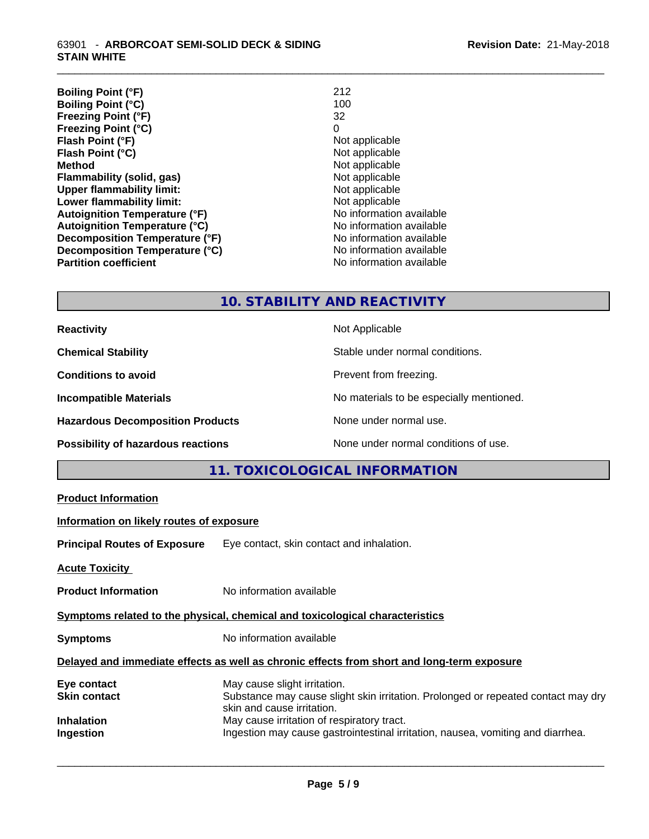| <b>Boiling Point (°F)</b>            | 212                      |
|--------------------------------------|--------------------------|
| <b>Boiling Point (°C)</b>            | 100                      |
| <b>Freezing Point (°F)</b>           | 32                       |
| <b>Freezing Point (°C)</b>           | 0                        |
| Flash Point (°F)                     | Not applicable           |
| Flash Point (°C)                     | Not applicable           |
| <b>Method</b>                        | Not applicable           |
| Flammability (solid, gas)            | Not applicable           |
| <b>Upper flammability limit:</b>     | Not applicable           |
| Lower flammability limit:            | Not applicable           |
| <b>Autoignition Temperature (°F)</b> | No information available |
| <b>Autoignition Temperature (°C)</b> | No information available |
| Decomposition Temperature (°F)       | No information available |
| Decomposition Temperature (°C)       | No information available |
| <b>Partition coefficient</b>         | No information available |

\_\_\_\_\_\_\_\_\_\_\_\_\_\_\_\_\_\_\_\_\_\_\_\_\_\_\_\_\_\_\_\_\_\_\_\_\_\_\_\_\_\_\_\_\_\_\_\_\_\_\_\_\_\_\_\_\_\_\_\_\_\_\_\_\_\_\_\_\_\_\_\_\_\_\_\_\_\_\_\_\_\_\_\_\_\_\_\_\_\_\_\_\_

### **10. STABILITY AND REACTIVITY**

| <b>Reactivity</b>                         | Not Applicable                           |
|-------------------------------------------|------------------------------------------|
| <b>Chemical Stability</b>                 | Stable under normal conditions.          |
| <b>Conditions to avoid</b>                | Prevent from freezing.                   |
| <b>Incompatible Materials</b>             | No materials to be especially mentioned. |
| <b>Hazardous Decomposition Products</b>   | None under normal use.                   |
| <b>Possibility of hazardous reactions</b> | None under normal conditions of use.     |

## **11. TOXICOLOGICAL INFORMATION**

| <b>Product Information</b>                                                                 |                                                                                                                                                 |  |  |
|--------------------------------------------------------------------------------------------|-------------------------------------------------------------------------------------------------------------------------------------------------|--|--|
| Information on likely routes of exposure                                                   |                                                                                                                                                 |  |  |
|                                                                                            | Principal Routes of Exposure Eye contact, skin contact and inhalation.                                                                          |  |  |
| <u> Acute Toxicity</u>                                                                     |                                                                                                                                                 |  |  |
| <b>Product Information</b>                                                                 | No information available                                                                                                                        |  |  |
| Symptoms related to the physical, chemical and toxicological characteristics               |                                                                                                                                                 |  |  |
| <b>Symptoms</b>                                                                            | No information available                                                                                                                        |  |  |
| Delayed and immediate effects as well as chronic effects from short and long-term exposure |                                                                                                                                                 |  |  |
| Eye contact<br>Skin contact                                                                | May cause slight irritation.<br>Substance may cause slight skin irritation. Prolonged or repeated contact may dry<br>skin and cause irritation. |  |  |
| Inhalation<br>Ingestion                                                                    | May cause irritation of respiratory tract.<br>Ingestion may cause gastrointestinal irritation, nausea, vomiting and diarrhea.                   |  |  |
|                                                                                            |                                                                                                                                                 |  |  |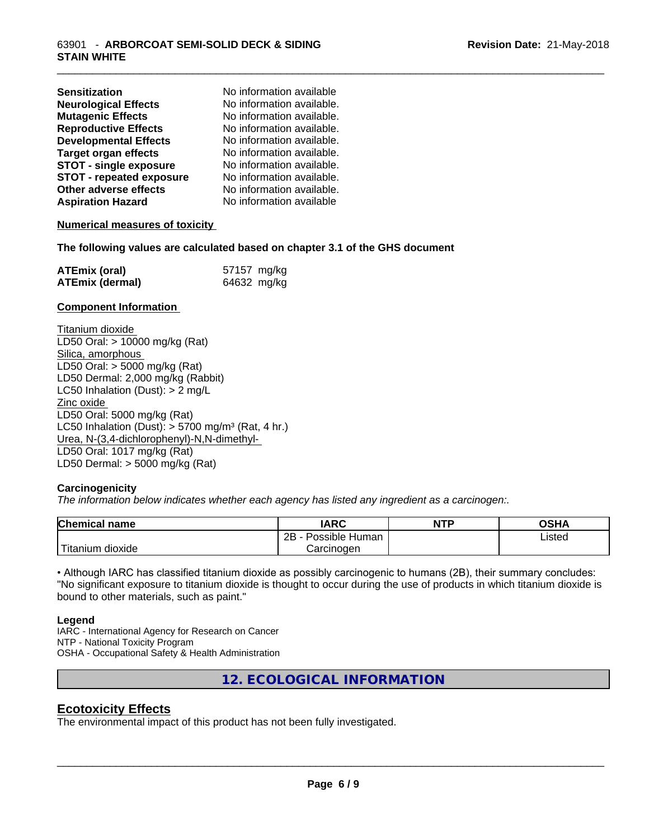| <b>Sensitization</b>            | No information available  |
|---------------------------------|---------------------------|
| <b>Neurological Effects</b>     | No information available. |
| <b>Mutagenic Effects</b>        | No information available. |
| <b>Reproductive Effects</b>     | No information available. |
| <b>Developmental Effects</b>    | No information available. |
| Target organ effects            | No information available. |
| <b>STOT - single exposure</b>   | No information available. |
| <b>STOT - repeated exposure</b> | No information available. |
| Other adverse effects           | No information available. |
| <b>Aspiration Hazard</b>        | No information available  |
|                                 |                           |

#### **Numerical measures of toxicity**

#### **The following values are calculated based on chapter 3.1 of the GHS document**

| <b>ATEmix (oral)</b>   | 57157 mg/kg |
|------------------------|-------------|
| <b>ATEmix (dermal)</b> | 64632 mg/kg |

#### **Component Information**

Titanium dioxide LD50 Oral: > 10000 mg/kg (Rat) Silica, amorphous LD50 Oral: > 5000 mg/kg (Rat) LD50 Dermal: 2,000 mg/kg (Rabbit) LC50 Inhalation (Dust): > 2 mg/L Zinc oxide LD50 Oral: 5000 mg/kg (Rat) LC50 Inhalation (Dust):  $> 5700$  mg/m<sup>3</sup> (Rat, 4 hr.) Urea, N-(3,4-dichlorophenyl)-N,N-dimethyl- LD50 Oral: 1017 mg/kg (Rat) LD50 Dermal: > 5000 mg/kg (Rat)

#### **Carcinogenicity**

*The information below indicateswhether each agency has listed any ingredient as a carcinogen:.*

| <b>Chemical name</b>                | <b>IARC</b>                    | <b>NTP</b> | ດຂ⊔ ∧<br>יוחט |
|-------------------------------------|--------------------------------|------------|---------------|
|                                     | . .<br>2B<br>Human<br>Possible |            | Listed        |
| $-1$<br>. dioxide<br><b>Itanium</b> | Carcinogen                     |            |               |

• Although IARC has classified titanium dioxide as possibly carcinogenic to humans (2B), their summary concludes: "No significant exposure to titanium dioxide is thought to occur during the use of products in which titanium dioxide is bound to other materials, such as paint."

#### **Legend**

IARC - International Agency for Research on Cancer NTP - National Toxicity Program OSHA - Occupational Safety & Health Administration

**12. ECOLOGICAL INFORMATION**

#### **Ecotoxicity Effects**

The environmental impact of this product has not been fully investigated.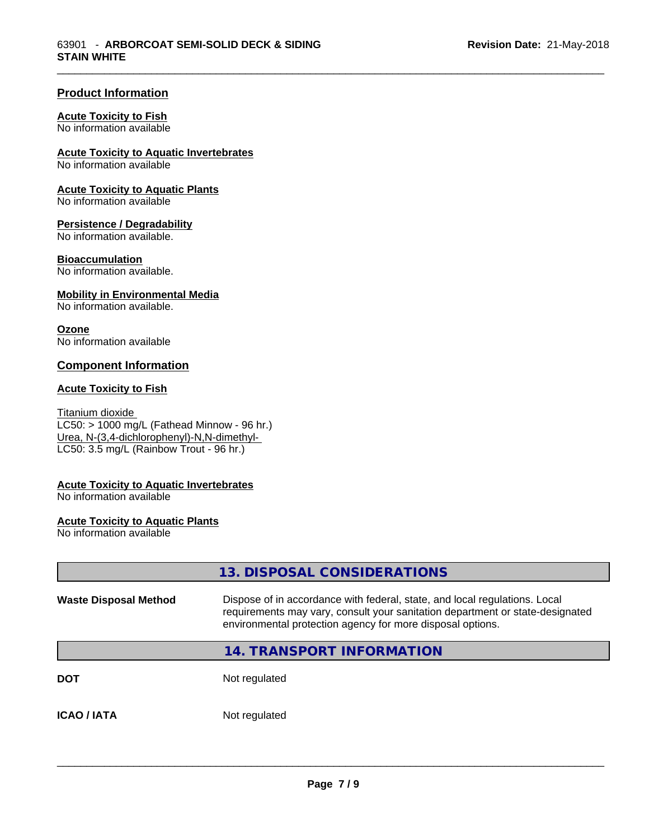\_\_\_\_\_\_\_\_\_\_\_\_\_\_\_\_\_\_\_\_\_\_\_\_\_\_\_\_\_\_\_\_\_\_\_\_\_\_\_\_\_\_\_\_\_\_\_\_\_\_\_\_\_\_\_\_\_\_\_\_\_\_\_\_\_\_\_\_\_\_\_\_\_\_\_\_\_\_\_\_\_\_\_\_\_\_\_\_\_\_\_\_\_

#### **Product Information**

#### **Acute Toxicity to Fish**

No information available

#### **Acute Toxicity to Aquatic Invertebrates**

No information available

#### **Acute Toxicity to Aquatic Plants**

No information available

#### **Persistence / Degradability**

No information available.

#### **Bioaccumulation**

No information available.

#### **Mobility in Environmental Media**

No information available.

#### **Ozone**

No information available

#### **Component Information**

#### **Acute Toxicity to Fish**

#### Titanium dioxide

 $LC50:$  > 1000 mg/L (Fathead Minnow - 96 hr.) Urea, N-(3,4-dichlorophenyl)-N,N-dimethyl- LC50: 3.5 mg/L (Rainbow Trout - 96 hr.)

#### **Acute Toxicity to Aquatic Invertebrates**

No information available

#### **Acute Toxicity to Aquatic Plants**

No information available

|                              | 13. DISPOSAL CONSIDERATIONS                                                                                                                                                                                               |
|------------------------------|---------------------------------------------------------------------------------------------------------------------------------------------------------------------------------------------------------------------------|
| <b>Waste Disposal Method</b> | Dispose of in accordance with federal, state, and local regulations. Local<br>requirements may vary, consult your sanitation department or state-designated<br>environmental protection agency for more disposal options. |
|                              | <b>14. TRANSPORT INFORMATION</b>                                                                                                                                                                                          |
| <b>DOT</b>                   | Not regulated                                                                                                                                                                                                             |
| <b>ICAO/IATA</b>             | Not regulated                                                                                                                                                                                                             |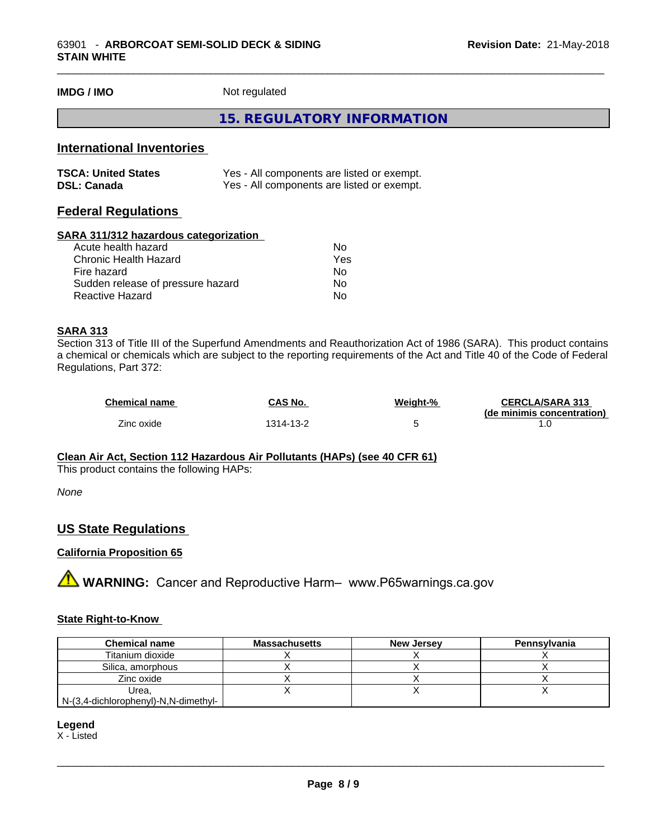**IMDG / IMO** Not regulated

#### **15. REGULATORY INFORMATION**

\_\_\_\_\_\_\_\_\_\_\_\_\_\_\_\_\_\_\_\_\_\_\_\_\_\_\_\_\_\_\_\_\_\_\_\_\_\_\_\_\_\_\_\_\_\_\_\_\_\_\_\_\_\_\_\_\_\_\_\_\_\_\_\_\_\_\_\_\_\_\_\_\_\_\_\_\_\_\_\_\_\_\_\_\_\_\_\_\_\_\_\_\_

#### **International Inventories**

| <b>TSCA: United States</b> | Yes - All components are listed or exempt. |
|----------------------------|--------------------------------------------|
| <b>DSL: Canada</b>         | Yes - All components are listed or exempt. |

#### **Federal Regulations**

#### **SARA 311/312 hazardous categorization**

| No  |
|-----|
| Yes |
| N٥  |
| Nο  |
| N٥  |
|     |

#### **SARA 313**

Section 313 of Title III of the Superfund Amendments and Reauthorization Act of 1986 (SARA). This product contains a chemical or chemicals which are subject to the reporting requirements of the Act and Title 40 of the Code of Federal Regulations, Part 372:

| <b>Chemical name</b> | <b>CAS No.</b> | Weight-% | <b>CERCLA/SARA 313</b>     |
|----------------------|----------------|----------|----------------------------|
|                      |                |          | (de minimis concentration) |
| Zinc oxide           | 1314-13-2      |          |                            |

#### **Clean Air Act,Section 112 Hazardous Air Pollutants (HAPs) (see 40 CFR 61)**

This product contains the following HAPs:

*None*

#### **US State Regulations**

#### **California Proposition 65**

**A WARNING:** Cancer and Reproductive Harm– www.P65warnings.ca.gov

#### **State Right-to-Know**

| <b>Chemical name</b>                 | Massachusetts | <b>New Jersey</b> | Pennsylvania |
|--------------------------------------|---------------|-------------------|--------------|
| Titanium dioxide                     |               |                   |              |
| Silica, amorphous                    |               |                   |              |
| Zinc oxide                           |               |                   |              |
| Urea.                                |               |                   |              |
| N-(3,4-dichlorophenyl)-N,N-dimethyl- |               |                   |              |

**Legend**

X - Listed